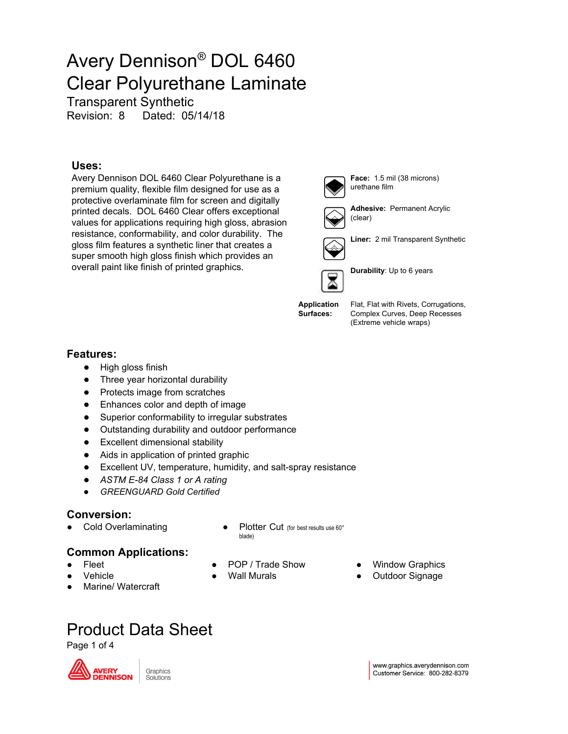Transparent Synthetic

Revision: 8 Dated: 05/14/18

#### **Uses:**

Avery Dennison DOL 6460 Clear Polyurethane is a premium quality, flexible film designed for use as a protective overlaminate film for screen and digitally printed decals. DOL 6460 Clear offers exceptional values for applications requiring high gloss, abrasion resistance, conformability, and color durability. The gloss film features a synthetic liner that creates a super smooth high gloss finish which provides an overall paint like finish of printed graphics.

**Features:**

- High gloss finish
- Three year horizontal durability
- Protects image from scratches
- Enhances color and depth of image
- Superior conformability to irregular substrates
- Outstanding durability and outdoor performance
- Excellent dimensional stability
- Aids in application of printed graphic
- Excellent UV, temperature, humidity, and salt-spray resistance
- *● ASTM E-84 Class 1 or A rating*
- *● GREENGUARD Gold Certified*

#### **Conversion:**

- 
- Cold Overlaminating <br>
Plotter Cut (for best results use 60° blade)

### **Common Applications:**

- **Fleet**
- **Vehicle**
- Marine/ Watercraft
- POP / Trade Show
- **Wall Murals**
- **Window Graphics**
- Outdoor Signage

Product Data Sheet

Page 1 of 4





**Adhesive:** Permanent Acrylic



(clear)



**Liner:** 2 mil Transparent Synthetic



**Durability**: Up to 6 years

Flat, Flat with Rivets, Corrugations, Complex Curves, Deep Recesses (Extreme vehicle wraps)

**Application**

**Surfaces:**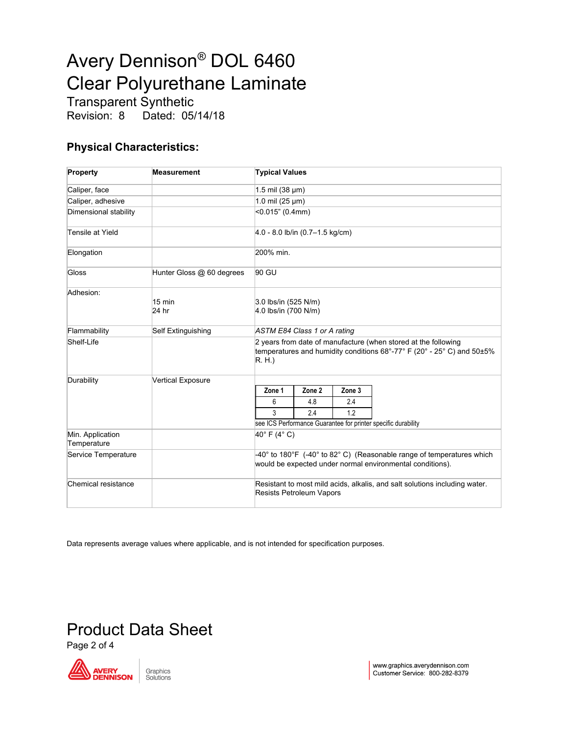Transparent Synthetic<br>Revision: 8 Dated: 05 Dated: 05/14/18

### **Physical Characteristics:**

| Property                        | <b>Measurement</b>        | <b>Typical Values</b>                                                                                                                              |        |        |  |  |
|---------------------------------|---------------------------|----------------------------------------------------------------------------------------------------------------------------------------------------|--------|--------|--|--|
| Caliper, face                   |                           | 1.5 mil (38 µm)                                                                                                                                    |        |        |  |  |
| Caliper, adhesive               |                           | 1.0 mil (25 µm)                                                                                                                                    |        |        |  |  |
| Dimensional stability           |                           | $<$ 0.015" (0.4mm)                                                                                                                                 |        |        |  |  |
| Tensile at Yield                |                           | $4.0 - 8.0$ lb/in $(0.7 - 1.5$ kg/cm)                                                                                                              |        |        |  |  |
| Elongation                      |                           | 200% min.                                                                                                                                          |        |        |  |  |
| Gloss                           | Hunter Gloss @ 60 degrees | 90 GU                                                                                                                                              |        |        |  |  |
| Adhesion:                       | $15 \text{ min}$<br>24 hr | 3.0 lbs/in (525 N/m)<br>4.0 lbs/in (700 N/m)                                                                                                       |        |        |  |  |
| Flammability                    | Self Extinguishing        | ASTM E84 Class 1 or A rating                                                                                                                       |        |        |  |  |
| Shelf-Life                      |                           | 2 years from date of manufacture (when stored at the following<br>temperatures and humidity conditions 68°-77° F (20° - 25° C) and 50±5%<br>R. H.) |        |        |  |  |
| Durability                      | <b>Vertical Exposure</b>  |                                                                                                                                                    |        |        |  |  |
|                                 |                           | Zone 1                                                                                                                                             | Zone 2 | Zone 3 |  |  |
|                                 |                           | 6                                                                                                                                                  | 4.8    | 2.4    |  |  |
|                                 |                           | 3                                                                                                                                                  | 2.4    | 1.2    |  |  |
|                                 |                           | see ICS Performance Guarantee for printer specific durability                                                                                      |        |        |  |  |
| Min. Application<br>Temperature |                           | 40°F (4°C)                                                                                                                                         |        |        |  |  |
| Service Temperature             |                           | -40° to 180°F (-40° to 82° C) (Reasonable range of temperatures which<br>would be expected under normal environmental conditions).                 |        |        |  |  |
| Chemical resistance             |                           | Resistant to most mild acids, alkalis, and salt solutions including water.<br><b>Resists Petroleum Vapors</b>                                      |        |        |  |  |

Data represents average values where applicable, and is not intended for specification purposes.

### Product Data Sheet

Page 2 of 4

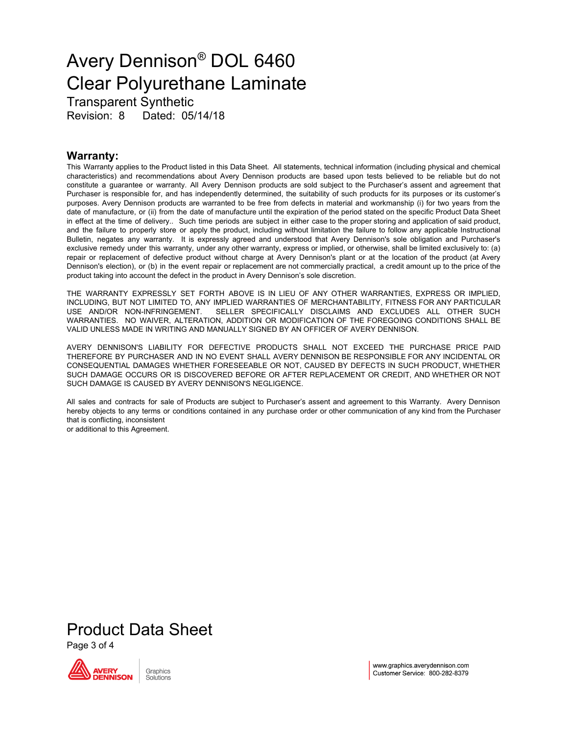Transparent Synthetic Revision: 8 Dated: 05/14/18

#### **Warranty:**

This Warranty applies to the Product listed in this Data Sheet. All statements, technical information (including physical and chemical characteristics) and recommendations about Avery Dennison products are based upon tests believed to be reliable but do not constitute a guarantee or warranty. All Avery Dennison products are sold subject to the Purchaser's assent and agreement that Purchaser is responsible for, and has independently determined, the suitability of such products for its purposes or its customer's purposes. Avery Dennison products are warranted to be free from defects in material and workmanship (i) for two years from the date of manufacture, or (ii) from the date of manufacture until the expiration of the period stated on the specific Product Data Sheet in effect at the time of delivery.. Such time periods are subject in either case to the proper storing and application of said product, and the failure to properly store or apply the product, including without limitation the failure to follow any applicable Instructional Bulletin, negates any warranty. It is expressly agreed and understood that Avery Dennison's sole obligation and Purchaser's exclusive remedy under this warranty, under any other warranty, express or implied, or otherwise, shall be limited exclusively to: (a) repair or replacement of defective product without charge at Avery Dennison's plant or at the location of the product (at Avery Dennison's election), or (b) in the event repair or replacement are not commercially practical, a credit amount up to the price of the product taking into account the defect in the product in Avery Dennison's sole discretion.

THE WARRANTY EXPRESSLY SET FORTH ABOVE IS IN LIEU OF ANY OTHER WARRANTIES, EXPRESS OR IMPLIED, INCLUDING, BUT NOT LIMITED TO, ANY IMPLIED WARRANTIES OF MERCHANTABILITY, FITNESS FOR ANY PARTICULAR USE AND/OR NON-INFRINGEMENT. SELLER SPECIFICALLY DISCLAIMS AND EXCLUDES ALL OTHER SUCH WARRANTIES. NO WAIVER, ALTERATION, ADDITION OR MODIFICATION OF THE FOREGOING CONDITIONS SHALL BE VALID UNLESS MADE IN WRITING AND MANUALLY SIGNED BY AN OFFICER OF AVERY DENNISON.

AVERY DENNISON'S LIABILITY FOR DEFECTIVE PRODUCTS SHALL NOT EXCEED THE PURCHASE PRICE PAID THEREFORE BY PURCHASER AND IN NO EVENT SHALL AVERY DENNISON BE RESPONSIBLE FOR ANY INCIDENTAL OR CONSEQUENTIAL DAMAGES WHETHER FORESEEABLE OR NOT, CAUSED BY DEFECTS IN SUCH PRODUCT, WHETHER SUCH DAMAGE OCCURS OR IS DISCOVERED BEFORE OR AFTER REPLACEMENT OR CREDIT, AND WHETHER OR NOT SUCH DAMAGE IS CAUSED BY AVERY DENNISON'S NEGLIGENCE.

All sales and contracts for sale of Products are subject to Purchaser's assent and agreement to this Warranty. Avery Dennison hereby objects to any terms or conditions contained in any purchase order or other communication of any kind from the Purchaser that is conflicting, inconsistent

or additional to this Agreement.

Product Data Sheet

Page 3 of 4